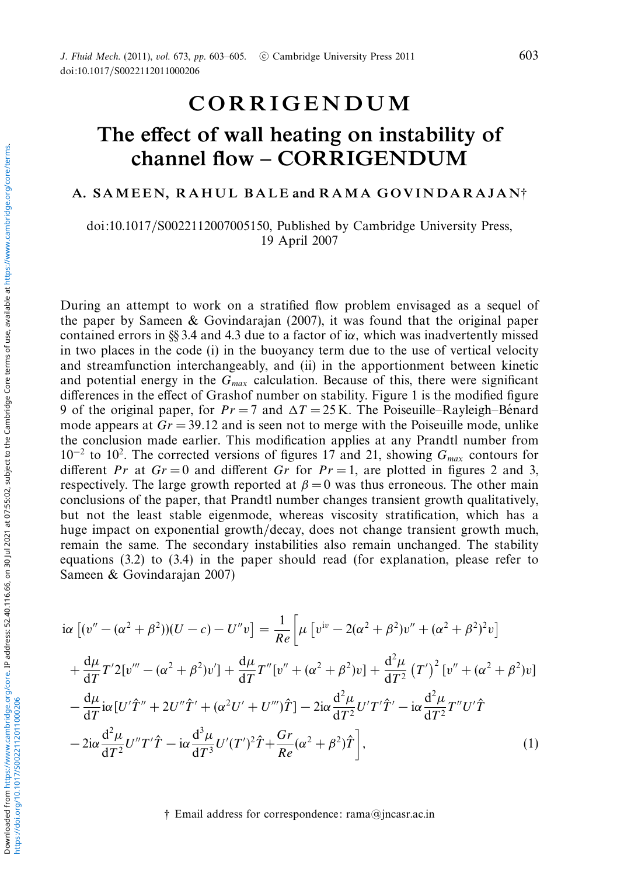## CORRIGENDUM

## The effect of wall heating on instability of channel flow – CORRIGENDUM

## A. SAMEEN, RAHUL BALE and RAMA GOVINDARAJAN<sup>†</sup>

doi:10.1017/S0022112007005150, Published by Cambridge University Press, 19 April 2007

During an attempt to work on a stratified flow problem envisaged as a sequel of the paper by Sameen & Govindarajan (2007), it was found that the original paper contained errors in §§ 3.4 and 4.3 due to a factor of i $\alpha$ , which was inadvertently missed in two places in the code (i) in the buoyancy term due to the use of vertical velocity and streamfunction interchangeably, and (ii) in the apportionment between kinetic and potential energy in the  $G_{max}$  calculation. Because of this, there were significant differences in the effect of Grashof number on stability. Figure 1 is the modified figure 9 of the original paper, for  $Pr = 7$  and  $\Delta T = 25$  K. The Poiseuille–Rayleigh–Bénard mode appears at  $Gr = 39.12$  and is seen not to merge with the Poiseuille mode, unlike the conclusion made earlier. This modification applies at any Prandtl number from 10<sup>-2</sup> to 10<sup>2</sup>. The corrected versions of figures 17 and 21, showing  $G_{max}$  contours for different Pr at  $Gr = 0$  and different Gr for  $Pr = 1$ , are plotted in figures 2 and 3, respectively. The large growth reported at  $\beta = 0$  was thus erroneous. The other main conclusions of the paper, that Prandtl number changes transient growth qualitatively, but not the least stable eigenmode, whereas viscosity stratification, which has a huge impact on exponential growth/decay, does not change transient growth much, remain the same. The secondary instabilities also remain unchanged. The stability equations (3.2) to (3.4) in the paper should read (for explanation, please refer to Sameen & Govindarajan 2007)

$$
i\alpha \left[ (v'' - (\alpha^2 + \beta^2))(U - c) - U''v \right] = \frac{1}{Re} \left[ \mu \left[ v^{iv} - 2(\alpha^2 + \beta^2)v'' + (\alpha^2 + \beta^2)^2 v \right] \right.
$$
  
+ 
$$
\frac{d\mu}{dT} T' 2[v''' - (\alpha^2 + \beta^2)v'] + \frac{d\mu}{dT} T''[v'' + (\alpha^2 + \beta^2)v] + \frac{d^2\mu}{dT^2} (T')^2 [v'' + (\alpha^2 + \beta^2)v]
$$
  
- 
$$
\frac{d\mu}{dT} i\alpha [U'\hat{T}'' + 2U''\hat{T}' + (\alpha^2 U' + U''')\hat{T}] - 2i\alpha \frac{d^2\mu}{dT^2} U'T'\hat{T}' - i\alpha \frac{d^2\mu}{dT^2} T''U'\hat{T}
$$
  
- 
$$
2i\alpha \frac{d^2\mu}{dT^2} U''T'\hat{T} - i\alpha \frac{d^3\mu}{dT^3} U'(T')^2 \hat{T} + \frac{Gr}{Re} (\alpha^2 + \beta^2)\hat{T} \right],
$$
 (1)

† Email address for correspondence: rama@jncasr.ac.in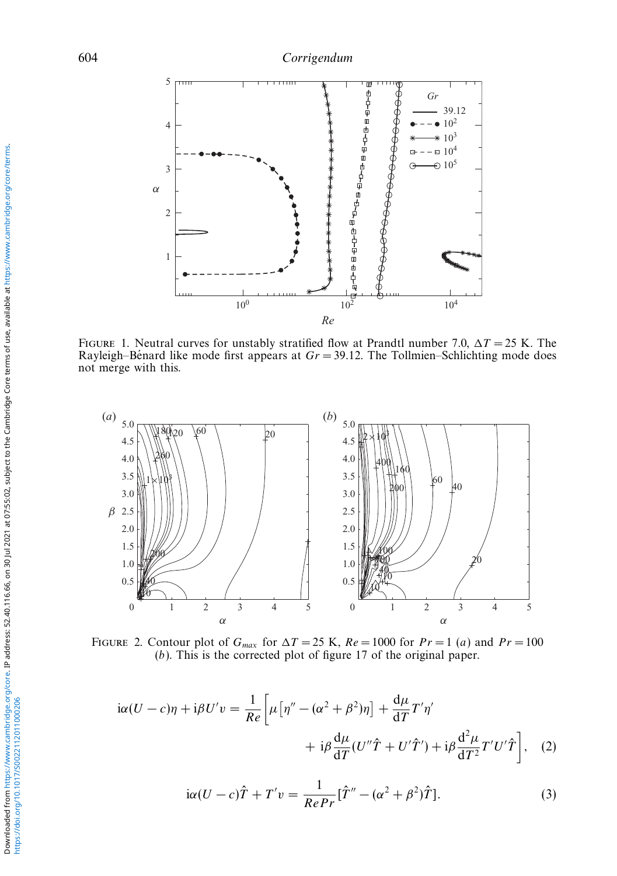

FIGURE 1. Neutral curves for unstably stratified flow at Prandtl number 7.0,  $\Delta T = 25$  K. The Rayleigh–Bénard like mode first appears at  $Gr = 39.12$ . The Tollmien–Schlichting mode does not merge with this.



FIGURE 2. Contour plot of  $G_{max}$  for  $\Delta T = 25$  K,  $Re = 1000$  for  $Pr = 1$  (a) and  $Pr = 100$ (b). This is the corrected plot of figure 17 of the original paper.

$$
i\alpha(U-c)\eta + i\beta U'v = \frac{1}{Re} \left[ \mu \left[ \eta'' - (\alpha^2 + \beta^2)\eta \right] + \frac{d\mu}{dT} T'\eta' + i\beta \frac{d^2\mu}{dT^2} (U''\hat{T} + U'\hat{T}') + i\beta \frac{d^2\mu}{dT^2} T'U'\hat{T} \right], \quad (2)
$$

$$
i\alpha (U - c)\hat{T} + T'v = \frac{1}{RePr}[\hat{T}'' - (\alpha^2 + \beta^2)\hat{T}].
$$
\n(3)